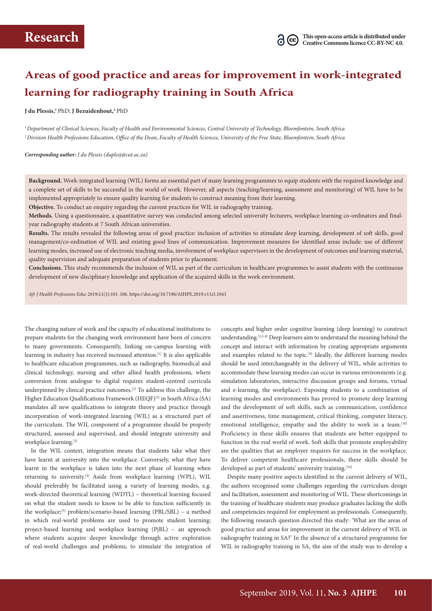# **Areas of good practice and areas for improvement in work-integrated learning for radiography training in South Africa**

#### **J du Plessis,1** PhD; **J Bezuidenhout,2** PhD

<sup>1</sup>*Department of Clinical Sciences, Faculty of Health and Environmental Sciences, Central University of Technology, Bloemfontein, South Africa* <sup>2</sup>*Division Health Professions Education, Office of the Dean, Faculty of Health Sciences, University of the Free State, Bloemfontein, South Africa*

*Corresponding author: J du Plessis [\(duplesj@cut.ac.za\)](mailto:duplesj@cut.ac.za)*

**Background.** Work-integrated learning (WIL) forms an essential part of many learning programmes to equip students with the required knowledge and a complete set of skills to be successful in the world of work. However, all aspects (teaching/learning, assessment and monitoring) of WIL have to be implemented appropriately to ensure quality learning for students to construct meaning from their learning.

**Objective.** To conduct an enquiry regarding the current practices for WIL in radiography training.

**Methods.** Using a questionnaire, a quantitative survey was conducted among selected university lecturers, workplace learning co-ordinators and finalyear radiography students at 7 South African universities.

Results. The results revealed the following areas of good practice: inclusion of activities to stimulate deep learning, development of soft skills, good management/co-ordination of WIL and existing good lines of communication. Improvement measures for identified areas include: use of different learning modes, increased use of electronic teaching media, involvement of workplace supervisors in the development of outcomes and learning material, quality supervision and adequate preparation of students prior to placement.

**Conclusions.** This study recommends the inclusion of WIL as part of the curriculum in healthcare programmes to assist students with the continuous development of new disciplinary knowledge and application of the acquired skills in the work environment.

*Afr J Health Professions Educ* 2019;11(3):101-106. https://doi.org/10.7196/AJHPE.2019.v11i3.1043

The changing nature of work and the capacity of educational institutions to prepare students for the changing work environment have been of concern to many governments. Consequently, linking on-campus learning with learning in industry has received increased attention.<sup>[1]</sup> It is also applicable to healthcare education programmes, such as radiography, biomedical and clinical technology, nursing and other allied health professions, where conversion from analogue to digital requires student-centred curricula underpinned by clinical practice outcomes.[2] To address this challenge, the Higher Education Qualifications Framework (HEQF)<sup>[3]</sup> in South Africa (SA) mandates all new qualifications to integrate theory and practice through incorporation of work-integrated learning (WIL) as a structured part of the curriculum. The WIL component of a programme should be properly structured, assessed and supervised, and should integrate university and workplace learning.<sup>[3]</sup>

In the WIL context, integration means that students take what they have learnt at university into the workplace. Conversely, what they have learnt in the workplace is taken into the next phase of learning when returning to university.<sup>[4]</sup> Aside from workplace learning (WPL), WIL should preferably be facilitated using a variety of learning modes, e.g. work-directed theoretical learning (WDTL) – theoretical learning focused on what the student needs to know to be able to function sufficiently in the workplace;[5] problem/scenario-based learning (PBL/SBL) – a method in which real-world problems are used to promote student learning; project-based learning and workplace learning (PjBL) – an approach where students acquire deeper knowledge through active exploration of real-world challenges and problems, to stimulate the integration of

concepts and higher order cognitive learning (deep learning) to construct understanding.<sup>[1,5-8]</sup> Deep learners aim to understand the meaning behind the concept and interact with information by creating appropriate arguments and examples related to the topic.<sup>[9]</sup> Ideally, the different learning modes should be used interchangeably in the delivery of WIL, while activities to accommodate these learning modes can occur in various environments (e.g. simulation laboratories, interactive discussion groups and forums, virtual and e-learning, the workplace). Exposing students to a combination of learning modes and environments has proved to promote deep learning and the development of soft skills, such as communication, confidence and assertiveness, time management, critical thinking, computer literacy, emotional intelligence, empathy and the ability to work in a team.<sup>[10]</sup> Proficiency in these skills ensures that students are better equipped to function in the real world of work. Soft skills that promote employability are the qualities that an employer requires for success in the workplace. To deliver competent healthcare professionals, these skills should be developed as part of students' university training.<sup>[10]</sup>

Despite many positive aspects identified in the current delivery of WIL, the authors recognised some challenges regarding the curriculum design and facilitation, assessment and monitoring of WIL. These shortcomings in the training of healthcare students may produce graduates lacking the skills and competencies required for employment as professionals. Consequently, the following research question directed this study: 'What are the areas of good practice and areas for improvement in the current delivery of WIL in radiography training in SA?' In the absence of a structured programme for WIL in radiography training in SA, the aim of the study was to develop a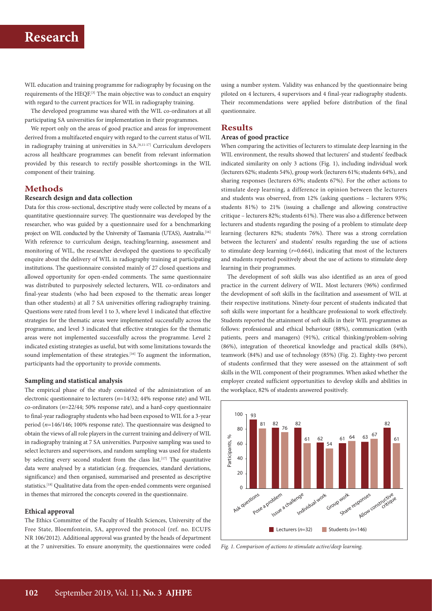WIL education and training programme for radiography by focusing on the requirements of the HEQF.[3] The main objective was to conduct an enquiry with regard to the current practices for WIL in radiography training.

The developed programme was shared with the WIL co-ordinators at all participating SA universities for implementation in their programmes.

We report only on the areas of good practice and areas for improvement derived from a multifaceted enquiry with regard to the current status of WIL in radiography training at universities in SA.<sup>[8,11-17]</sup> Curriculum developers across all healthcare programmes can benefit from relevant information provided by this research to rectify possible shortcomings in the WIL component of their training.

## **Methods**

#### **Research design and data collection**

Data for this cross-sectional, descriptive study were collected by means of a quantitative questionnaire survey. The questionnaire was developed by the researcher, who was guided by a questionnaire used for a benchmarking project on WIL conducted by the University of Tasmania (UTAS), Australia.<sup>[16]</sup> With reference to curriculum design, teaching/learning, assessment and monitoring of WIL, the researcher developed the questions to specifically enquire about the delivery of WIL in radiography training at participating institutions. The questionnaire consisted mainly of 27 closed questions and allowed opportunity for open-ended comments. The same questionnaire was distributed to purposively selected lecturers, WIL co-ordinators and final-year students (who had been exposed to the thematic areas longer than other students) at all 7 SA universities offering radiography training. Questions were rated from level 1 to 3, where level 1 indicated that effective strategies for the thematic areas were implemented successfully across the programme, and level 3 indicated that effective strategies for the thematic areas were not implemented successfully across the programme. Level 2 indicated existing strategies as useful, but with some limitations towards the sound implementation of these strategies.<sup>[16]</sup> To augment the information, participants had the opportunity to provide comments.

#### **Sampling and statistical analysis**

The empirical phase of the study consisted of the administration of an electronic questionnaire to lecturers (*n*=14/32; 44% response rate) and WIL co-ordinators (*n*=22/44; 50% response rate), and a hard-copy questionnaire to final-year radiography students who had been exposed to WIL for a 3-year period (*n*=146/146; 100% response rate). The questionnaire was designed to obtain the views of all role players in the current training and delivery of WIL in radiography training at 7 SA universities. Purposive sampling was used to select lecturers and supervisors, and random sampling was used for students by selecting every second student from the class list.<sup>[17]</sup> The quantitative data were analysed by a statistician (e.g. frequencies, standard deviations, significance) and then organised, summarised and presented as descriptive statistics.[18] Qualitative data from the open-ended comments were organised in themes that mirrored the concepts covered in the questionnaire.

#### **Ethical approval**

The Ethics Committee of the Faculty of Health Sciences, University of the Free State, Bloemfontein, SA, approved the protocol (ref. no. ECUFS NR 106/2012). Additional approval was granted by the heads of department at the 7 universities. To ensure anonymity, the questionnaires were coded

using a number system. Validity was enhanced by the questionnaire being piloted on 4 lecturers, 4 supervisors and 4 final-year radiography students. Their recommendations were applied before distribution of the final questionnaire.

### **Results**

## **Areas of good practice**

When comparing the activities of lecturers to stimulate deep learning in the WIL environment, the results showed that lecturers' and students' feedback indicated similarity on only 3 actions (Fig. 1), including individual work (lecturers 62%; students 54%), group work (lecturers 61%; students 64%), and sharing responses (lecturers 63%; students 67%). For the other actions to stimulate deep learning, a difference in opinion between the lecturers and students was observed, from 12% (asking questions – lecturers 93%; students 81%) to 21% (issuing a challenge and allowing constructive critique – lecturers 82%; students 61%). There was also a difference between lecturers and students regarding the posing of a problem to stimulate deep learning (lecturers 82%; students 76%). There was a strong correlation between the lecturers' and students' results regarding the use of actions to stimulate deep learning  $(r=0.664)$ , indicating that most of the lecturers and students reported positively about the use of actions to stimulate deep learning in their programmes.

The development of soft skills was also identified as an area of good practice in the current delivery of WIL. Most lecturers (96%) confirmed the development of soft skills in the facilitation and assessment of WIL at their respective institutions. Ninety-four percent of students indicated that soft skills were important for a healthcare professional to work effectively. Students reported the attainment of soft skills in their WIL programmes as follows: professional and ethical behaviour (88%), communication (with patients, peers and managers) (91%), critical thinking/problem-solving (86%), integration of theoretical knowledge and practical skills (84%), teamwork (84%) and use of technology (85%) (Fig. 2). Eighty-two percent of students confirmed that they were assessed on the attainment of soft skills in the WIL component of their programmes. When asked whether the employer created sufficient opportunities to develop skills and abilities in the workplace, 82% of students answered positively.



*Fig. 1. Comparison of actions to stimulate active/deep learning.*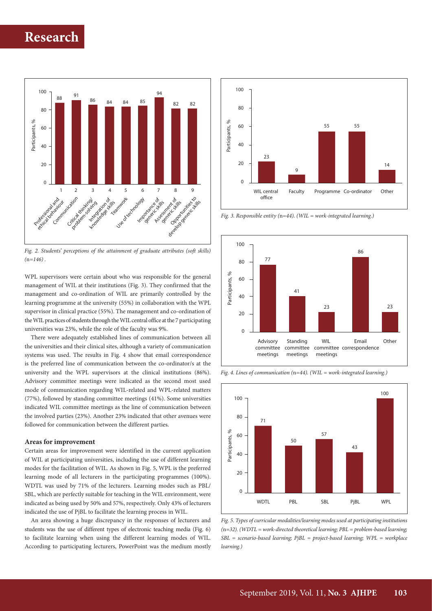

*Fig. 2. Students' perceptions of the attainment of graduate attributes (soft skills) (*n*=146) .*

WPL supervisors were certain about who was responsible for the general management of WIL at their institutions (Fig. 3). They confirmed that the management and co-ordination of WIL are primarily controlled by the learning programme at the university (55%) in collaboration with the WPL supervisor in clinical practice (55%). The management and co-ordination of the WIL practices of students through the WIL central office at the 7 participating universities was 23%, while the role of the faculty was 9%.

There were adequately established lines of communication between all the universities and their clinical sites, although a variety of communication systems was used. The results in Fig. 4 show that email correspondence is the preferred line of communication between the co-ordinator/s at the university and the WPL supervisors at the clinical institutions (86%). Advisory committee meetings were indicated as the second most used mode of communication regarding WIL-related and WPL-related matters (77%), followed by standing committee meetings (41%). Some universities indicated WIL committee meetings as the line of communication between the involved parties (23%). Another 23% indicated that other avenues were followed for communication between the different parties.

#### **Areas for improvement**

Certain areas for improvement were identified in the current application of WIL at participating universities, including the use of different learning modes for the facilitation of WIL. As shown in Fig. 5, WPL is the preferred learning mode of all lecturers in the participating programmes (100%). WDTL was used by 71% of the lecturers. Learning modes such as PBL/ SBL, which are perfectly suitable for teaching in the WIL environment, were indicated as being used by 50% and 57%, respectively. Only 43% of lecturers indicated the use of PjBL to facilitate the learning process in WIL.

An area showing a huge discrepancy in the responses of lecturers and students was the use of different types of electronic teaching media (Fig. 6) to facilitate learning when using the different learning modes of WIL.



*Fig. 3. Responsible entity (*n*=44). (WIL = work-integrated learning.)*





*Fig. 4. Lines of communication (*n*=44). (WIL = work-integrated learning.)*

*Fig. 5. Types of curricular modalities/learning modes used at participating institutions (*n*=32). (WDTL = work-directed theoretical learning; PBL = problem-based learning; SBL = scenario-based learning; PjBL = project-based learning; WPL = workplace learning.)*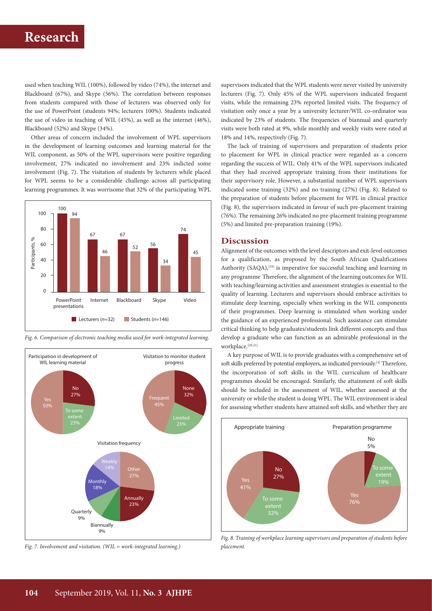## **Research**

used when teaching WIL (100%), followed by video (74%), the internet and Blackboard (67%), and Skype (56%). The correlation between responses from students compared with those of lecturers was observed only for the use of PowerPoint (students 94%; lecturers 100%). Students indicated the use of video in teaching of WIL (45%), as well as the internet (46%), Blackboard (52%) and Skype (34%).

Other areas of concern included the involvement of WPL supervisors in the development of learning outcomes and learning material for the WIL component, as 50% of the WPL supervisors were positive regarding involvement, 27% indicated no involvement and 23% indicted some involvement (Fig. 7). The visitation of students by lecturers while placed for WPL seems to be a considerable challenge across all participating learning programmes. It was worrisome that 32% of the participating WPL





*Fig. 6. Comparison of electronic teaching media used for work-integrated learning.*

*Fig. 7. Involvement and visitation. (WIL = work-integrated learning.)*

supervisors indicated that the WPL students were never visited by university lecturers (Fig. 7). Only 45% of the WPL supervisors indicated frequent visits, while the remaining 23% reported limited visits. The frequency of visitation only once a year by a university lecturer/WIL co-ordinator was indicated by 23% of students. The frequencies of biannual and quarterly visits were both rated at 9%, while monthly and weekly visits were rated at 18% and 14%, respectively (Fig. 7).

The lack of training of supervisors and preparation of students prior to placement for WPL in clinical practice were regarded as a concern regarding the success of WIL. Only 41% of the WPL supervisors indicated that they had received appropriate training from their institutions for their supervisory role. However, a substantial number of WPL supervisors indicated some training (32%) and no training (27%) (Fig. 8). Related to the preparation of students before placement for WPL in clinical practice (Fig. 8), the supervisors indicated in favour of such pre-placement training (76%). The remaining 26% indicated no pre-placement training programme (5%) and limited pre-preparation training (19%).

## **Discussion**

Alignment of the outcomes with the level descriptors and exit-level outcomes for a qualification, as proposed by the South African Qualifications Authority (SAQA),<sup>[19]</sup> is imperative for successful teaching and learning in any programme. Therefore, the alignment of the learning outcomes for WIL with teaching/learning activities and assessment strategies is essential to the quality of learning. Lecturers and supervisors should embrace activities to stimulate deep learning, especially when working in the WIL components of their programmes. Deep learning is stimulated when working under the guidance of an experienced professional. Such assistance can stimulate critical thinking to help graduates/students link different concepts and thus develop a graduate who can function as an admirable professional in the workplace.<sup>[20,21]</sup>

A key purpose of WIL is to provide graduates with a comprehensive set of soft skills preferred by potential employers, as indicated previously.<sup>[4]</sup> Therefore, the incorporation of soft skills in the WIL curriculum of healthcare programmes should be encouraged. Similarly, the attainment of soft skills should be included in the assessment of WIL, whether assessed at the university or while the student is doing WPL. The WIL environment is ideal for assessing whether students have attained soft skills, and whether they are



*Fig. 8. Training of workplace learning supervisors and preparation of students before placement.*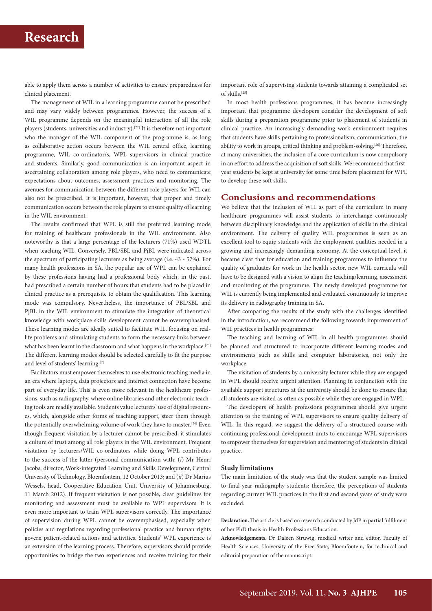## **Research**

able to apply them across a number of activities to ensure preparedness for clinical placement.

The management of WIL in a learning programme cannot be prescribed and may vary widely between programmes. However, the success of a WIL programme depends on the meaningful interaction of all the role players (students, universities and industry).[22] It is therefore not important who the manager of the WIL component of the programme is, as long as collaborative action occurs between the WIL central office, learning programme, WIL co-ordinator/s, WPL supervisors in clinical practice and students. Similarly, good communication is an important aspect in ascertaining collaboration among role players, who need to communicate expectations about outcomes, assessment practices and monitoring. The avenues for communication between the different role players for WIL can also not be prescribed. It is important, however, that proper and timely communication occurs between the role players to ensure quality of learning in the WIL environment.

The results confirmed that WPL is still the preferred learning mode for training of healthcare professionals in the WIL environment. Also noteworthy is that a large percentage of the lecturers (71%) used WDTL when teaching WIL. Conversely, PBL/SBL and PjBL were indicated across the spectrum of participating lecturers as being average (i.e. 43 - 57%). For many health professions in SA, the popular use of WPL can be explained by these professions having had a professional body which, in the past, had prescribed a certain number of hours that students had to be placed in clinical practice as a prerequisite to obtain the qualification. This learning mode was compulsory. Nevertheless, the importance of PBL/SBL and PjBL in the WIL environment to stimulate the integration of theoretical knowledge with workplace skills development cannot be overemphasised. These learning modes are ideally suited to facilitate WIL, focusing on reallife problems and stimulating students to form the necessary links between what has been learnt in the classroom and what happens in the workplace.<sup>[23]</sup> The different learning modes should be selected carefully to fit the purpose and level of students' learning.<sup>[7]</sup>

Facilitators must empower themselves to use electronic teaching media in an era where laptops, data projectors and internet connection have become part of everyday life. This is even more relevant in the healthcare professions, such as radiography, where online libraries and other electronic teaching tools are readily available. Students value lecturers' use of digital resources, which, alongside other forms of teaching support, steer them through the potentially overwhelming volume of work they have to master.<sup>[24]</sup> Even though frequent visitation by a lecturer cannot be prescribed, it stimulates a culture of trust among all role players in the WIL environment. Frequent visitation by lecturers/WIL co-ordinators while doing WPL contributes to the success of the latter (personal communication with: (*i*) Mr Henri Jacobs, director, Work-integrated Learning and Skills Development, Central University of Technology, Bloemfontein, 12 October 2013; and (*ii*) Dr Marius Wessels, head, Cooperative Education Unit, University of Johannesburg, 11 March 2012). If frequent visitation is not possible, clear guidelines for monitoring and assessment must be available to WPL supervisors. It is even more important to train WPL supervisors correctly. The importance of supervision during WPL cannot be overemphasised, especially when policies and regulations regarding professional practice and human rights govern patient-related actions and activities. Students' WPL experience is an extension of the learning process. Therefore, supervisors should provide opportunities to bridge the two experiences and receive training for their

important role of supervising students towards attaining a complicated set of skills.[25]

In most health professions programmes, it has become increasingly important that programme developers consider the development of soft skills during a preparation programme prior to placement of students in clinical practice. An increasingly demanding work environment requires that students have skills pertaining to professionalism, communication, the ability to work in groups, critical thinking and problem-solving.[26] Therefore, at many universities, the inclusion of a core curriculum is now compulsory in an effort to address the acquisition of soft skills. We recommend that firstyear students be kept at university for some time before placement for WPL to develop these soft skills.

## **Conclusions and recommendations**

We believe that the inclusion of WIL as part of the curriculum in many healthcare programmes will assist students to interchange continuously between disciplinary knowledge and the application of skills in the clinical environment. The delivery of quality WIL programmes is seen as an excellent tool to equip students with the employment qualities needed in a growing and increasingly demanding economy. At the conceptual level, it became clear that for education and training programmes to influence the quality of graduates for work in the health sector, new WIL curricula will have to be designed with a vision to align the teaching/learning, assessment and monitoring of the programme. The newly developed programme for WIL is currently being implemented and evaluated continuously to improve its delivery in radiography training in SA.

After comparing the results of the study with the challenges identified in the introduction, we recommend the following towards improvement of WIL practices in health programmes:

The teaching and learning of WIL in all health programmes should be planned and structured to incorporate different learning modes and environments such as skills and computer laboratories, not only the workplace.

The visitation of students by a university lecturer while they are engaged in WPL should receive urgent attention. Planning in conjunction with the available support structures at the university should be done to ensure that all students are visited as often as possible while they are engaged in WPL.

The developers of health professions programmes should give urgent attention to the training of WPL supervisors to ensure quality delivery of WIL. In this regard, we suggest the delivery of a structured course with continuing professional development units to encourage WPL supervisors to empower themselves for supervision and mentoring of students in clinical practice.

#### **Study limitations**

The main limitation of the study was that the student sample was limited to final-year radiography students; therefore, the perceptions of students regarding current WIL practices in the first and second years of study were excluded.

**Declaration.** The article is based on research conducted by JdP in partial fulfilment of her PhD thesis in Health Professions Education.

**Acknowledgements.** Dr Daleen Struwig, medical writer and editor, Faculty of Health Sciences, University of the Free State, Bloemfontein, for technical and editorial preparation of the manuscript.